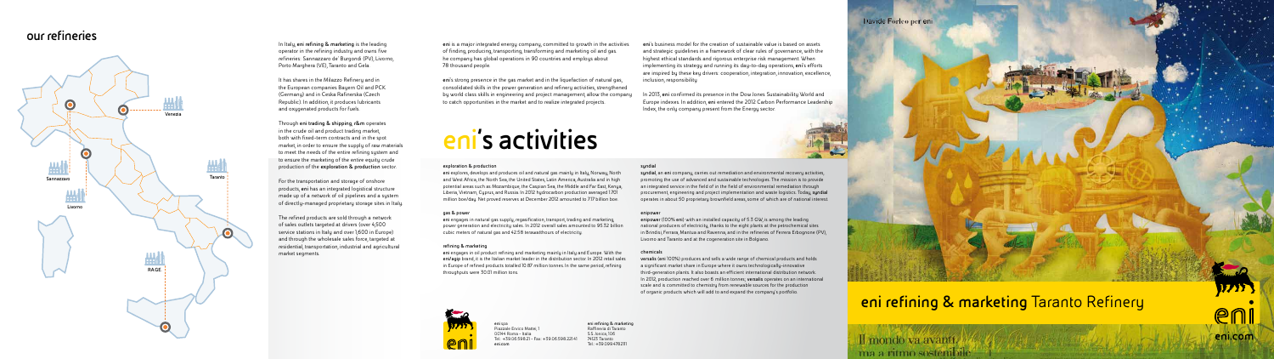**eni** spa Piazzale Enrico Mattei, 1 00144 Roma - Italia Tel.: +39.06.598.21 - Fax: +39.06.598.221.41 **eni.com**

**eni refining & marketing** Raffineria di Taranto S.S. Jonica, 106 74123 Taranto Tel.: +39.099.4782111

### Davide Forleo per eni



### **eni refining & marketing** Taranto Refinery

Il mondo va avanti. ma a ritmo sostenibile

# eni.com

# **eni's activities**

### **exploration & production**

**eni** explores, develops and produces oil and natural gas mainly in Italy, Norway, North and West Africa, the North Sea, the United States, Latin America, Australia and in high potential areas such as Mozambique, the Caspian Sea, the Middle and Far East, Kenya, Liberia, Vietnam, Cyprus, and Russia. In 2012 hydrocarbon production averaged 1.701 million boe/day. Net proved reserves at December 2012 amounted to 7.17 billion boe.

### **gas & power**

**eni** engages in natural gas supply, regasification, transport, trading and marketing, power generation and electricity sales. In 2012 overall sales amounted to 95.32 billion cubic meters of natural gas and 42.58 terawatthours of electricity.

### **refining & marketing**

**eni** engages in oil product refining and marketing mainly in Italy and Europe. With the **eni/agip** brand, it is the Italian market leader in the distribution sector. In 2012 retail sales in Europe of refined products totalled 10.87 million tonnes. In the same period, refining throughputs were 30.01 million tons.



#### **syndial**

**syndial**, an **eni** company, carries out remediation and environmental recovery activities, promoting the use of advanced and sustainable technologies. The mission is to provide an integrated service in the field of in the field of environmental remediation through procurement, engineering and project implementation and waste logistics. Today, **syndial**  operates in about 50 proprietary brownfield areas, some of which are of national interest.

#### **enipower**

**enipower** (100% **eni**) with an installed capacity of 5.3 GW, is among the leading national producers of electricity, thanks to the eight plants at the petrochemical sites in Brindisi, Ferrara, Mantua and Ravenna, and in the refineries of Ferrera Erbognone (PV), Livorno and Taranto and at the cogeneration site in Bolgiano.

### **chemicals**

**versalis** (**eni** 100%) produces and sells a wide range of chemical products and holds a significant market share in Europe where it owns technologically-innovative third-generation plants. It also boasts an efficient international distribution network. In 2012, production reached over 6 million tonnes; **versalis** operates on an international scale and is committed to chemistry from renewable sources for the production of organic products which will add to and expand the company's portfolio.

**eni** is a major integrated energy company, committed to growth in the activities of finding, producing, transporting, transforming and marketing oil and gas. he company has global operations in 90 countries and employs about 78 thousand people.

**eni**'s strong presence in the gas market and in the liquefaction of natural gas, consolidated skills in the power generation and refinery activities, strengthened by world class skills in engineering and project management, allow the company to catch opportunities in the market and to realize integrated projects.

**eni**'s business model for the creation of sustainable value is based on assets and strategic guidelines in a framework of clear rules of governance, with the highest ethical standards and rigorous enterprise risk management. When implementing its strategy and running its day-to-day operations, **eni**'s efforts are inspired by these key drivers: cooperation, integration, innovation, excellence, inclusion, responsibility

In 2013, **eni** confirmed its presence in the Dow Jones Sustainability World and Europe indexes. In addition, **eni** entered the 2012 Carbon Performance Leadership Index, the only company present from the Energy sector.



In Italy, **eni refining & marketing** is the leading operator in the refining industry and owns five refineries: Sannazzaro de' Burgondi (PV), Livorno, Porto Marghera (VE), Taranto and Gela.

It has shares in the Milazzo Refinery and in the European companies Bayern Oil and PCK (Germany) and in Ceska Rafinerska (Czech Republic). In addition, it produces lubricants and oxygenated products for fuels.

Through **eni trading & shipping**, **r&m** operates in the crude oil and product trading market, both with fixed-term contracts and in the spot market, in order to ensure the supply of raw materials to meet the needs of the entire refining system and to ensure the marketing of the entire equity crude production of the **exploration & production** sector.

For the transportation and storage of onshore products, **eni** has an integrated logistical structure made up of a network of oil pipelines and a system of directly-managed proprietary storage sites in Italy.

The refined products are sold through a network of sales outlets targeted at drivers (over 4,500 service stations in Italy and over 1,600 in Europe) and through the wholesale sales force, targeted at residential, transportation, industrial and agricultural market segments.

### **our refineries**